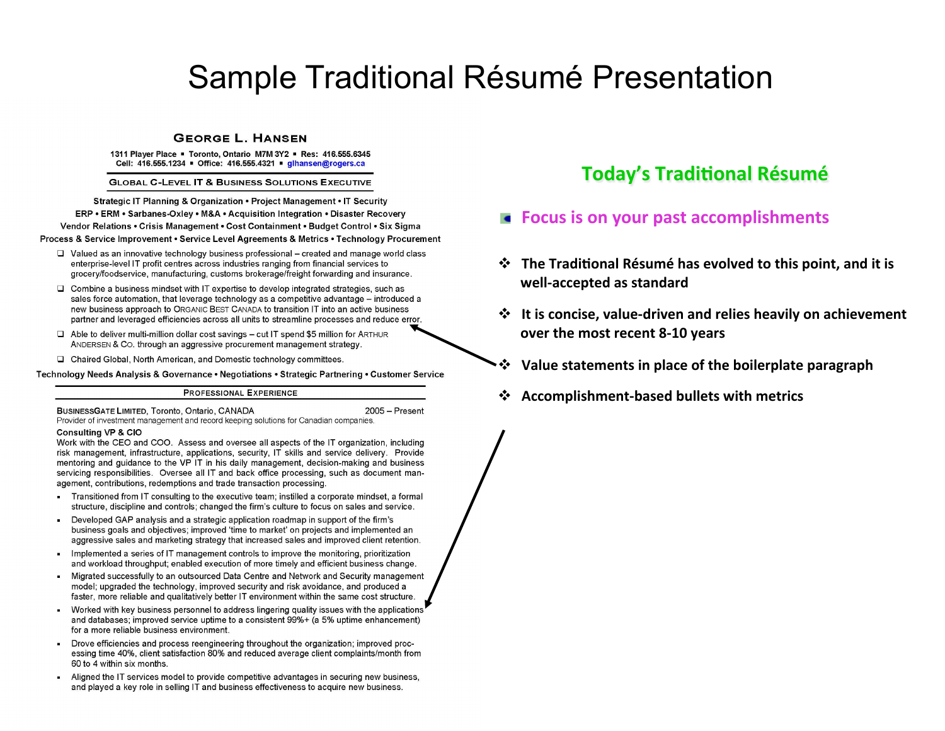# Sample Traditional Résumé Presentation

#### **GEORGE L. HANSEN**

1311 Player Place . Toronto, Ontario M7M 3Y2 . Res: 416,555,6345 Cell: 416.555.1234 • Office: 416.555.4321 • glhansen@rogers.ca

**GLOBAL C-LEVEL IT & BUSINESS SOLUTIONS EXECUTIVE** 

Strategic IT Planning & Organization . Project Management . IT Security ERP • ERM • Sarbanes-Oxlev • M&A • Acquisition Integration • Disaster Recovery Vendor Relations • Crisis Management • Cost Containment • Budget Control • Six Sigma Process & Service Improvement • Service Level Agreements & Metrics • Technology Procurement

- $\Box$  Valued as an innovative technology business professional created and manage world class enterprise-level IT profit centres across industries ranging from financial services to grocery/foodservice, manufacturing, customs brokerage/freight forwarding and insurance.
- $\Box$  Combine a business mindset with IT expertise to develop integrated strategies, such as sales force automation, that leverage technology as a competitive advantage – introduced a new business approach to ORGANIC BEST CANADA to transition IT into an active business partner and leveraged efficiencies across all units to streamline processes and reduce error.
- $\Box$  Able to deliver multi-million dollar cost savings cut IT spend \$5 million for ARTHUR ANDERSEN & CO. through an aggressive procurement management strategy.
- □ Chaired Global, North American, and Domestic technology committees.

Technology Needs Analysis & Governance • Negotiations • Strategic Partnering • Customer Service

#### **PROFESSIONAL EXPERIENCE**

BUSINESSGATE LIMITED, Toronto, Ontario, CANADA 2005 - Present Provider of investment management and record keeping solutions for Canadian companies.

#### **Consulting VP & CIO**

Work with the CEO and COO. Assess and oversee all aspects of the IT organization, including risk management, infrastructure, applications, security, IT skills and service delivery. Provide mentoring and quidance to the VP IT in his daily management, decision-making and business servicing responsibilities. Oversee all IT and back office processing, such as document management, contributions, redemptions and trade transaction processing.

- Transitioned from IT consulting to the executive team; instilled a corporate mindset, a formal  $\blacksquare$ structure, discipline and controls; changed the firm's culture to focus on sales and service.
- Developed GAP analysis and a strategic application roadmap in support of the firm's ×. business goals and objectives; improved 'time to market' on projects and implemented an aggressive sales and marketing strategy that increased sales and improved client retention.
- ¥. Implemented a series of IT management controls to improve the monitoring, prioritization and workload throughput; enabled execution of more timely and efficient business change.
- Migrated successfully to an outsourced Data Centre and Network and Security management  $\blacksquare$ model; uparaded the technology, improved security and risk avoidance, and produced a faster, more reliable and qualitatively better IT environment within the same cost structure.
- Worked with key business personnel to address lingering quality issues with the applications ×. and databases; improved service uptime to a consistent 99%+ (a 5% uptime enhancement) for a more reliable business environment.
- Drove efficiencies and process reengineering throughout the organization; improved proc-×. essing time 40%, client satisfaction 80% and reduced average client complaints/month from 60 to 4 within six months.
- Aligned the IT services model to provide competitive advantages in securing new business,  $\blacksquare$ and played a key role in selling IT and business effectiveness to acquire new business.

# **Today's Traditional Résumé**

## **Focus is on your past accomplishments**

- $\cdot$  **₹** The Traditional Résumé has evolved to this point, and it is well-accepted as standard
- $\diamond$  It is concise, value-driven and relies heavily on achievement **over the most recent 8-10 years**
- Value statements in place of the boilerplate paragraph
- **❖** Accomplishment-based bullets with metrics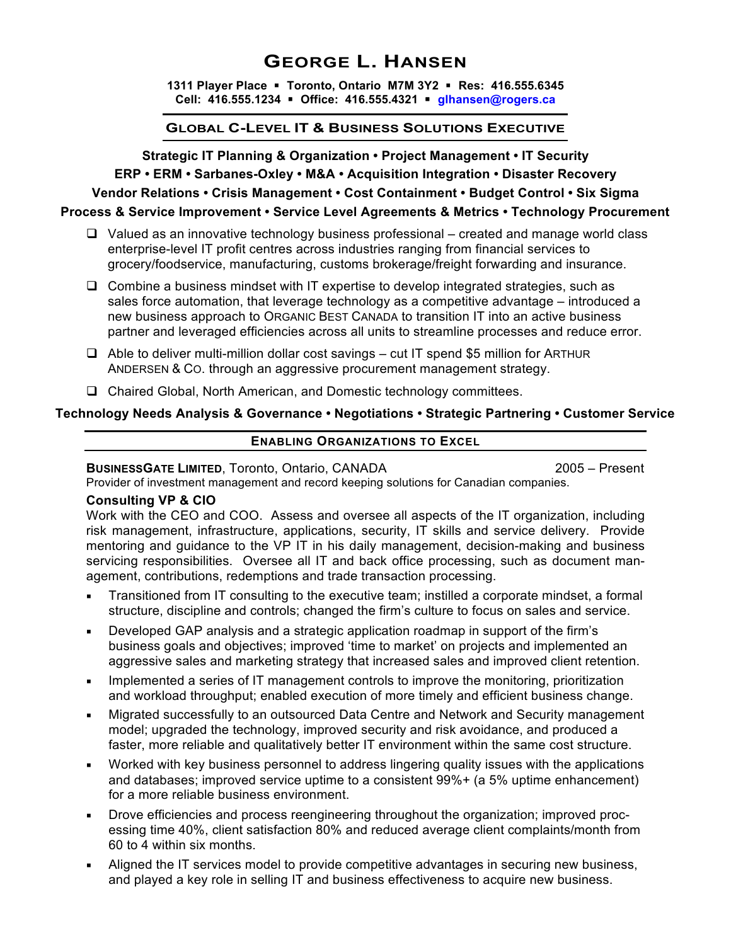## **GEORGE L. HANSEN**

**1311 Player Place** § **Toronto, Ontario M7M 3Y2** § **Res: 416.555.6345 Cell: 416.555.1234** § **Office: 416.555.4321** § **glhansen@rogers.ca**

#### **GLOBAL C-LEVEL IT & BUSINESS SOLUTIONS EXECUTIVE**

**Strategic IT Planning & Organization • Project Management • IT Security ERP • ERM • Sarbanes-Oxley • M&A • Acquisition Integration • Disaster Recovery Vendor Relations • Crisis Management • Cost Containment • Budget Control • Six Sigma**

#### **Process & Service Improvement • Service Level Agreements & Metrics • Technology Procurement**

- $\Box$  Valued as an innovative technology business professional created and manage world class enterprise-level IT profit centres across industries ranging from financial services to grocery/foodservice, manufacturing, customs brokerage/freight forwarding and insurance.
- $\Box$  Combine a business mindset with IT expertise to develop integrated strategies, such as sales force automation, that leverage technology as a competitive advantage – introduced a new business approach to ORGANIC BEST CANADA to transition IT into an active business partner and leveraged efficiencies across all units to streamline processes and reduce error.
- $\Box$  Able to deliver multi-million dollar cost savings cut IT spend \$5 million for ARTHUR ANDERSEN & CO. through an aggressive procurement management strategy.
- □ Chaired Global, North American, and Domestic technology committees.

#### **Technology Needs Analysis & Governance • Negotiations • Strategic Partnering • Customer Service**

#### **ENABLING ORGANIZATIONS TO EXCEL**

## **BUSINESSGATE LIMITED, Toronto, Ontario, CANADA 2005 – Present**

Provider of investment management and record keeping solutions for Canadian companies.

## **Consulting VP & CIO**

Work with the CEO and COO. Assess and oversee all aspects of the IT organization, including risk management, infrastructure, applications, security, IT skills and service delivery. Provide mentoring and guidance to the VP IT in his daily management, decision-making and business servicing responsibilities. Oversee all IT and back office processing, such as document management, contributions, redemptions and trade transaction processing.

- ¡ Transitioned from IT consulting to the executive team; instilled a corporate mindset, a formal structure, discipline and controls; changed the firm's culture to focus on sales and service.
- Developed GAP analysis and a strategic application roadmap in support of the firm's business goals and objectives; improved 'time to market' on projects and implemented an aggressive sales and marketing strategy that increased sales and improved client retention.
- Implemented a series of IT management controls to improve the monitoring, prioritization and workload throughput; enabled execution of more timely and efficient business change.
- Migrated successfully to an outsourced Data Centre and Network and Security management model; upgraded the technology, improved security and risk avoidance, and produced a faster, more reliable and qualitatively better IT environment within the same cost structure.
- Worked with key business personnel to address lingering quality issues with the applications and databases; improved service uptime to a consistent 99%+ (a 5% uptime enhancement) for a more reliable business environment.
- Drove efficiencies and process reengineering throughout the organization; improved processing time 40%, client satisfaction 80% and reduced average client complaints/month from 60 to 4 within six months.
- Aligned the IT services model to provide competitive advantages in securing new business, and played a key role in selling IT and business effectiveness to acquire new business.